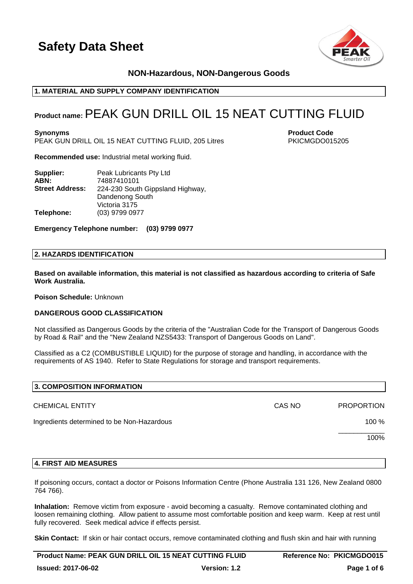



## **NON-Hazardous, NON-Dangerous Goods**

## **1. MATERIAL AND SUPPLY COMPANY IDENTIFICATION**

## **Product name:**PEAK GUN DRILL OIL 15 NEAT CUTTING FLUID

**Synonyms Product Code** PEAK GUN DRILL OIL 15 NEAT CUTTING FLUID, 205 Litres PKICMGDO015205

**Recommended use:** Industrial metal working fluid.

| Supplier:              | Peak Lubricants Pty Ltd          |  |  |  |
|------------------------|----------------------------------|--|--|--|
| ABN:                   | 74887410101                      |  |  |  |
| <b>Street Address:</b> | 224-230 South Gippsland Highway, |  |  |  |
|                        | Dandenong South                  |  |  |  |
|                        | Victoria 3175                    |  |  |  |
| Telephone:             | (03) 9799 0977                   |  |  |  |

**Emergency Telephone number: (03) 9799 0977**

## **2. HAZARDS IDENTIFICATION**

**Based on available information, this material is not classified as hazardous according to criteria of Safe Work Australia.**

**Poison Schedule:** Unknown

#### **DANGEROUS GOOD CLASSIFICATION**

Not classified as Dangerous Goods by the criteria of the "Australian Code for the Transport of Dangerous Goods by Road & Rail" and the "New Zealand NZS5433: Transport of Dangerous Goods on Land".

Classified as a C2 (COMBUSTIBLE LIQUID) for the purpose of storage and handling, in accordance with the requirements of AS 1940. Refer to State Regulations for storage and transport requirements.

| 3. COMPOSITION INFORMATION                 |        |                   |
|--------------------------------------------|--------|-------------------|
| <b>CHEMICAL ENTITY</b>                     | CAS NO | <b>PROPORTION</b> |
| Ingredients determined to be Non-Hazardous |        | 100 %             |
|                                            |        | 100%              |
|                                            |        |                   |

#### **4. FIRST AID MEASURES**

If poisoning occurs, contact a doctor or Poisons Information Centre (Phone Australia 131 126, New Zealand 0800 764 766).

**Inhalation:** Remove victim from exposure - avoid becoming a casualty. Remove contaminated clothing and loosen remaining clothing. Allow patient to assume most comfortable position and keep warm. Keep at rest until fully recovered. Seek medical advice if effects persist.

**Skin Contact:** If skin or hair contact occurs, remove contaminated clothing and flush skin and hair with running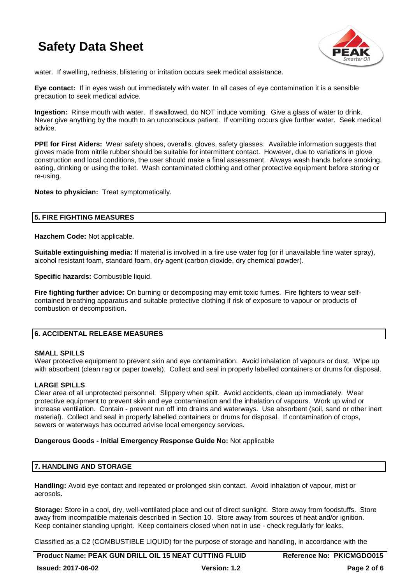

water. If swelling, redness, blistering or irritation occurs seek medical assistance.

**Eye contact:** If in eyes wash out immediately with water. In all cases of eye contamination it is a sensible precaution to seek medical advice.

**Ingestion:** Rinse mouth with water. If swallowed, do NOT induce vomiting. Give a glass of water to drink. Never give anything by the mouth to an unconscious patient. If vomiting occurs give further water. Seek medical advice.

**PPE for First Aiders:** Wear safety shoes, overalls, gloves, safety glasses. Available information suggests that gloves made from nitrile rubber should be suitable for intermittent contact. However, due to variations in glove construction and local conditions, the user should make a final assessment. Always wash hands before smoking, eating, drinking or using the toilet. Wash contaminated clothing and other protective equipment before storing or re-using.

**Notes to physician:** Treat symptomatically.

## **5. FIRE FIGHTING MEASURES**

**Hazchem Code:** Not applicable.

**Suitable extinguishing media:** If material is involved in a fire use water fog (or if unavailable fine water spray), alcohol resistant foam, standard foam, dry agent (carbon dioxide, dry chemical powder).

**Specific hazards: Combustible liquid.** 

**Fire fighting further advice:** On burning or decomposing may emit toxic fumes. Fire fighters to wear selfcontained breathing apparatus and suitable protective clothing if risk of exposure to vapour or products of combustion or decomposition.

## **6. ACCIDENTAL RELEASE MEASURES**

#### **SMALL SPILLS**

Wear protective equipment to prevent skin and eye contamination. Avoid inhalation of vapours or dust. Wipe up with absorbent (clean rag or paper towels). Collect and seal in properly labelled containers or drums for disposal.

## **LARGE SPILLS**

Clear area of all unprotected personnel. Slippery when spilt. Avoid accidents, clean up immediately. Wear protective equipment to prevent skin and eye contamination and the inhalation of vapours. Work up wind or increase ventilation. Contain - prevent run off into drains and waterways. Use absorbent (soil, sand or other inert material). Collect and seal in properly labelled containers or drums for disposal. If contamination of crops, sewers or waterways has occurred advise local emergency services.

#### **Dangerous Goods - Initial Emergency Response Guide No:** Not applicable

## **7. HANDLING AND STORAGE**

**Handling:** Avoid eye contact and repeated or prolonged skin contact. Avoid inhalation of vapour, mist or aerosols.

**Storage:** Store in a cool, dry, well-ventilated place and out of direct sunlight. Store away from foodstuffs. Store away from incompatible materials described in Section 10. Store away from sources of heat and/or ignition. Keep container standing upright. Keep containers closed when not in use - check regularly for leaks.

Classified as a C2 (COMBUSTIBLE LIQUID) for the purpose of storage and handling, in accordance with the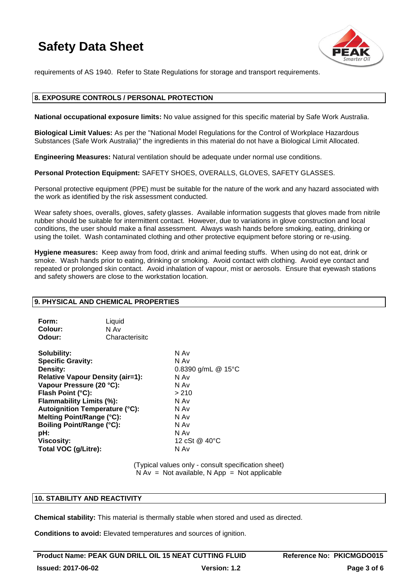

requirements of AS 1940. Refer to State Regulations for storage and transport requirements.

## **8. EXPOSURE CONTROLS / PERSONAL PROTECTION**

**National occupational exposure limits:** No value assigned for this specific material by Safe Work Australia.

**Biological Limit Values:** As per the "National Model Regulations for the Control of Workplace Hazardous Substances (Safe Work Australia)" the ingredients in this material do not have a Biological Limit Allocated.

**Engineering Measures:** Natural ventilation should be adequate under normal use conditions.

**Personal Protection Equipment:** SAFETY SHOES, OVERALLS, GLOVES, SAFETY GLASSES.

Personal protective equipment (PPE) must be suitable for the nature of the work and any hazard associated with the work as identified by the risk assessment conducted.

Wear safety shoes, overalls, gloves, safety glasses. Available information suggests that gloves made from nitrile rubber should be suitable for intermittent contact. However, due to variations in glove construction and local conditions, the user should make a final assessment. Always wash hands before smoking, eating, drinking or using the toilet. Wash contaminated clothing and other protective equipment before storing or re-using.

**Hygiene measures:** Keep away from food, drink and animal feeding stuffs. When using do not eat, drink or smoke. Wash hands prior to eating, drinking or smoking. Avoid contact with clothing. Avoid eye contact and repeated or prolonged skin contact. Avoid inhalation of vapour, mist or aerosols. Ensure that eyewash stations and safety showers are close to the workstation location.

## **9. PHYSICAL AND CHEMICAL PROPERTIES**

| Form:          | Liquid         |
|----------------|----------------|
| <b>Colour:</b> | N Av           |
| Odour:         | Characterisitc |

**Solubility:** N Av **Specific Gravity:** N Av **Density:** 0.8390 g/mL @ 15°C **Relative Vapour Density (air=1):** N Av **Vapour Pressure (20 °C):** N Av **Flash Point (°C):**  $>210$ **Flammability Limits (%):** N Av **Autoignition Temperature (°C):** N Av **Melting Point/Range (°C):** N Av **Boiling Point/Range (°C):**<br> **pH:** N Av **pH:** N Av **Viscosity:** 12 cSt @ 40°C **Total VOC (g/Litre):** N Av

(Typical values only - consult specification sheet)  $N Av = Not available, N App = Not applicable$ 

## **10. STABILITY AND REACTIVITY**

**Chemical stability:** This material is thermally stable when stored and used as directed.

**Conditions to avoid:** Elevated temperatures and sources of ignition.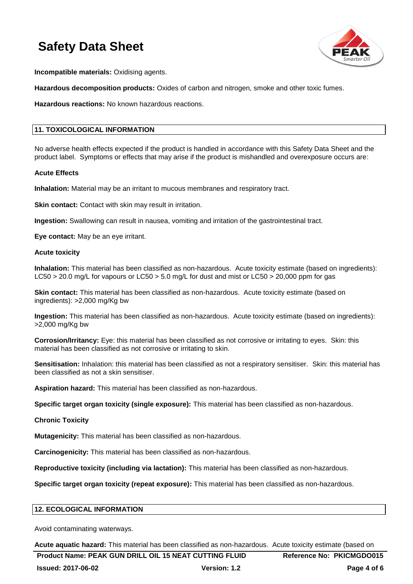

**Incompatible materials:** Oxidising agents.

**Hazardous decomposition products:** Oxides of carbon and nitrogen, smoke and other toxic fumes.

**Hazardous reactions:** No known hazardous reactions.

## **11. TOXICOLOGICAL INFORMATION**

No adverse health effects expected if the product is handled in accordance with this Safety Data Sheet and the product label. Symptoms or effects that may arise if the product is mishandled and overexposure occurs are:

#### **Acute Effects**

**Inhalation:** Material may be an irritant to mucous membranes and respiratory tract.

**Skin contact:** Contact with skin may result in irritation.

**Ingestion:** Swallowing can result in nausea, vomiting and irritation of the gastrointestinal tract.

**Eye contact:** May be an eye irritant.

#### **Acute toxicity**

**Inhalation:** This material has been classified as non-hazardous. Acute toxicity estimate (based on ingredients): LC50 > 20.0 mg/L for vapours or LC50 > 5.0 mg/L for dust and mist or LC50 > 20,000 ppm for gas

**Skin contact:** This material has been classified as non-hazardous. Acute toxicity estimate (based on ingredients): >2,000 mg/Kg bw

**Ingestion:** This material has been classified as non-hazardous. Acute toxicity estimate (based on ingredients): >2,000 mg/Kg bw

**Corrosion/Irritancy:** Eye: this material has been classified as not corrosive or irritating to eyes. Skin: this material has been classified as not corrosive or irritating to skin.

**Sensitisation:** Inhalation: this material has been classified as not a respiratory sensitiser. Skin: this material has been classified as not a skin sensitiser.

**Aspiration hazard:** This material has been classified as non-hazardous.

**Specific target organ toxicity (single exposure):** This material has been classified as non-hazardous.

## **Chronic Toxicity**

**Mutagenicity:** This material has been classified as non-hazardous.

**Carcinogenicity:** This material has been classified as non-hazardous.

**Reproductive toxicity (including via lactation):** This material has been classified as non-hazardous.

**Specific target organ toxicity (repeat exposure):** This material has been classified as non-hazardous.

## **12. ECOLOGICAL INFORMATION**

Avoid contaminating waterways.

**Acute aquatic hazard:** This material has been classified as non-hazardous. Acute toxicity estimate (based on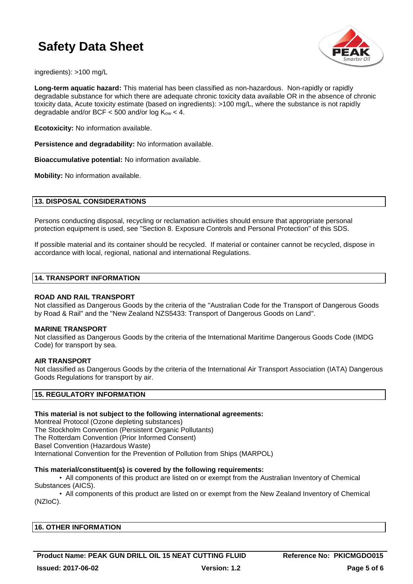

ingredients): >100 mg/L

**Long-term aquatic hazard:** This material has been classified as non-hazardous. Non-rapidly or rapidly degradable substance for which there are adequate chronic toxicity data available OR in the absence of chronic toxicity data, Acute toxicity estimate (based on ingredients): >100 mg/L, where the substance is not rapidly degradable and/or BCF  $<$  500 and/or log K<sub>ow</sub>  $<$  4.

**Ecotoxicity:** No information available.

**Persistence and degradability:** No information available.

**Bioaccumulative potential:** No information available.

**Mobility:** No information available.

#### **13. DISPOSAL CONSIDERATIONS**

Persons conducting disposal, recycling or reclamation activities should ensure that appropriate personal protection equipment is used, see "Section 8. Exposure Controls and Personal Protection" of this SDS.

If possible material and its container should be recycled. If material or container cannot be recycled, dispose in accordance with local, regional, national and international Regulations.

#### **14. TRANSPORT INFORMATION**

#### **ROAD AND RAIL TRANSPORT**

Not classified as Dangerous Goods by the criteria of the "Australian Code for the Transport of Dangerous Goods by Road & Rail" and the "New Zealand NZS5433: Transport of Dangerous Goods on Land".

#### **MARINE TRANSPORT**

Not classified as Dangerous Goods by the criteria of the International Maritime Dangerous Goods Code (IMDG Code) for transport by sea.

#### **AIR TRANSPORT**

Not classified as Dangerous Goods by the criteria of the International Air Transport Association (IATA) Dangerous Goods Regulations for transport by air.

## **15. REGULATORY INFORMATION**

## **This material is not subject to the following international agreements:**

Montreal Protocol (Ozone depleting substances) The Stockholm Convention (Persistent Organic Pollutants) The Rotterdam Convention (Prior Informed Consent) Basel Convention (Hazardous Waste) International Convention for the Prevention of Pollution from Ships (MARPOL)

#### **This material/constituent(s) is covered by the following requirements:**

• All components of this product are listed on or exempt from the Australian Inventory of Chemical Substances (AICS).

• All components of this product are listed on or exempt from the New Zealand Inventory of Chemical (NZIoC).

| <b>16. OTHER INFORMATION</b> |  |  |
|------------------------------|--|--|
|                              |  |  |

**Product Name: PEAK GUN DRILL OIL 15 NEAT CUTTING FLUID Reference No: PKICMGDO015**